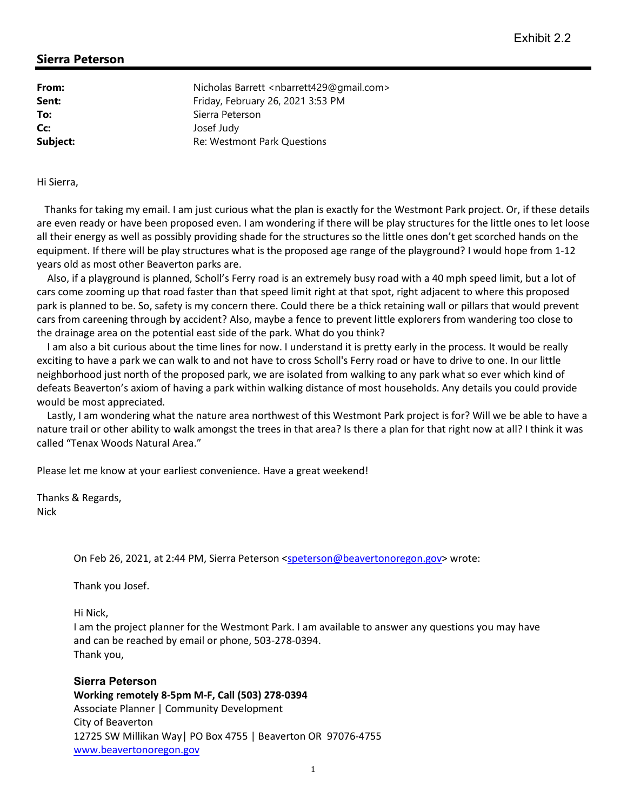## **Sierra Peterson**

**From:** Nicholas Barrett <nbarrett429@gmail.com> **Sent:** Friday, February 26, 2021 3:53 PM **To:** Sierra Peterson **Cc:** Josef Judy **Subject:** Re: Westmont Park Questions

Hi Sierra,

 Thanks for taking my email. I am just curious what the plan is exactly for the Westmont Park project. Or, if these details are even ready or have been proposed even. I am wondering if there will be play structures for the little ones to let loose all their energy as well as possibly providing shade for the structures so the little ones don't get scorched hands on the equipment. If there will be play structures what is the proposed age range of the playground? I would hope from 1-12 years old as most other Beaverton parks are.

 Also, if a playground is planned, Scholl's Ferry road is an extremely busy road with a 40 mph speed limit, but a lot of cars come zooming up that road faster than that speed limit right at that spot, right adjacent to where this proposed park is planned to be. So, safety is my concern there. Could there be a thick retaining wall or pillars that would prevent cars from careening through by accident? Also, maybe a fence to prevent little explorers from wandering too close to the drainage area on the potential east side of the park. What do you think?

 I am also a bit curious about the time lines for now. I understand it is pretty early in the process. It would be really exciting to have a park we can walk to and not have to cross Scholl's Ferry road or have to drive to one. In our little neighborhood just north of the proposed park, we are isolated from walking to any park what so ever which kind of defeats Beaverton's axiom of having a park within walking distance of most households. Any details you could provide would be most appreciated.

 Lastly, I am wondering what the nature area northwest of this Westmont Park project is for? Will we be able to have a nature trail or other ability to walk amongst the trees in that area? Is there a plan for that right now at all? I think it was called "Tenax Woods Natural Area."

Please let me know at your earliest convenience. Have a great weekend!

Thanks & Regards, Nick

On Feb 26, 2021, at 2:44 PM, Sierra Peterson <speterson@beavertonoregon.gov> wrote:

Thank you Josef.

Hi Nick,

I am the project planner for the Westmont Park. I am available to answer any questions you may have and can be reached by email or phone, 503-278-0394. Thank you,

**Sierra Peterson Working remotely 8-5pm M-F, Call (503) 278-0394** Associate Planner | Community Development City of Beaverton 12725 SW Millikan Way| PO Box 4755 | Beaverton OR 97076-4755 www.beavertonoregon.gov